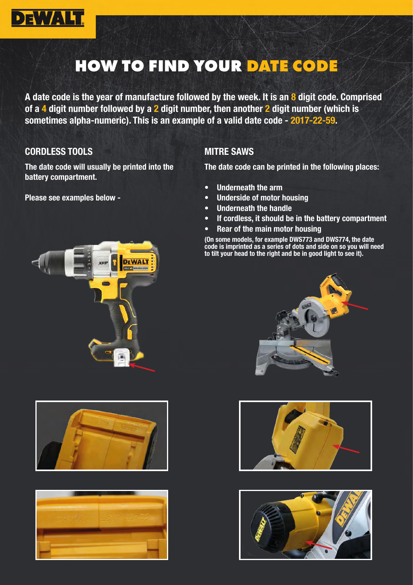

# HOW TO FIND YOUR DATE CODE

A date code is the year of manufacture followed by the week. It is an 8 digit code. Comprised of a 4 digit number followed by a  $2$  digit number, then another  $2$  digit number (which is sometimes alpha-numeric). This is an example of a valid date code - 2017-22-59.

#### CORDLESS TOOLS

The date code will usually be printed into the battery compartment.

Please see examples below -







## MITRE SAWS

The date code can be printed in the following places:

- Underneath the arm
- Underside of motor housing
- Underneath the handle
- If cordless, it should be in the battery compartment
- Rear of the main motor housing

(On some models, for example DWS773 and DWS774, the date code is imprinted as a series of dots and side on so you will need to tilt your head to the right and be in good light to see it).





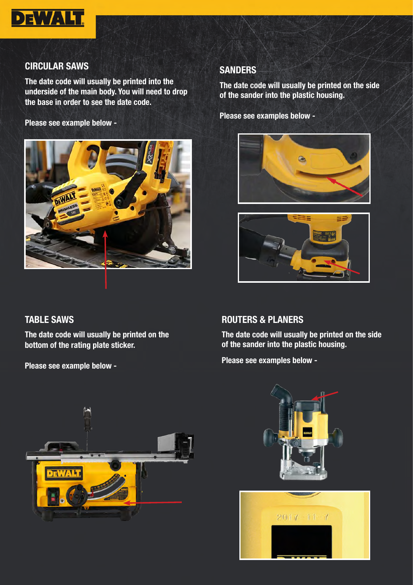

# CIRCULAR SAWS

The date code will usually be printed into the underside of the main body. You will need to drop the base in order to see the date code.

Please see example below -



# TABLE SAWS

The date code will usually be printed on the bottom of the rating plate sticker.

Please see example below -

## **SANDERS**

The date code will usually be printed on the side of the sander into the plastic housing.

Please see examples below -





# ROUTERS & PLANERS

The date code will usually be printed on the side of the sander into the plastic housing.

Please see examples below -